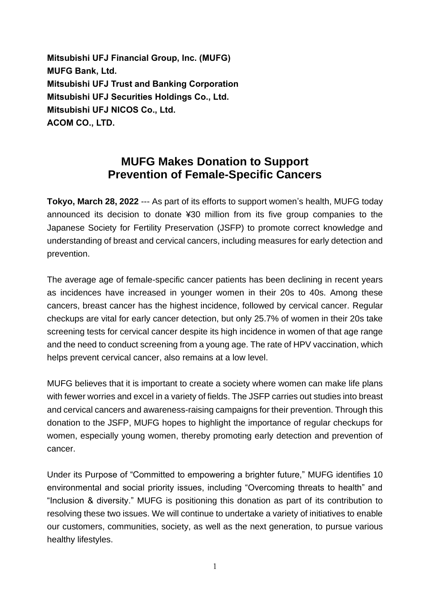**Mitsubishi UFJ Financial Group, Inc. (MUFG) MUFG Bank, Ltd. Mitsubishi UFJ Trust and Banking Corporation Mitsubishi UFJ Securities Holdings Co., Ltd. Mitsubishi UFJ NICOS Co., Ltd. ACOM CO., LTD.**

## **MUFG Makes Donation to Support Prevention of Female-Specific Cancers**

**Tokyo, March 28, 2022** --- As part of its efforts to support women's health, MUFG today announced its decision to donate ¥30 million from its five group companies to the Japanese Society for Fertility Preservation (JSFP) to promote correct knowledge and understanding of breast and cervical cancers, including measures for early detection and prevention.

The average age of female-specific cancer patients has been declining in recent years as incidences have increased in younger women in their 20s to 40s. Among these cancers, breast cancer has the highest incidence, followed by cervical cancer. Regular checkups are vital for early cancer detection, but only 25.7% of women in their 20s take screening tests for cervical cancer despite its high incidence in women of that age range and the need to conduct screening from a young age. The rate of HPV vaccination, which helps prevent cervical cancer, also remains at a low level.

MUFG believes that it is important to create a society where women can make life plans with fewer worries and excel in a variety of fields. The JSFP carries out studies into breast and cervical cancers and awareness-raising campaigns for their prevention. Through this donation to the JSFP, MUFG hopes to highlight the importance of regular checkups for women, especially young women, thereby promoting early detection and prevention of cancer.

Under its Purpose of "Committed to empowering a brighter future," MUFG identifies 10 environmental and social priority issues, including "Overcoming threats to health" and "Inclusion & diversity." MUFG is positioning this donation as part of its contribution to resolving these two issues. We will continue to undertake a variety of initiatives to enable our customers, communities, society, as well as the next generation, to pursue various healthy lifestyles.